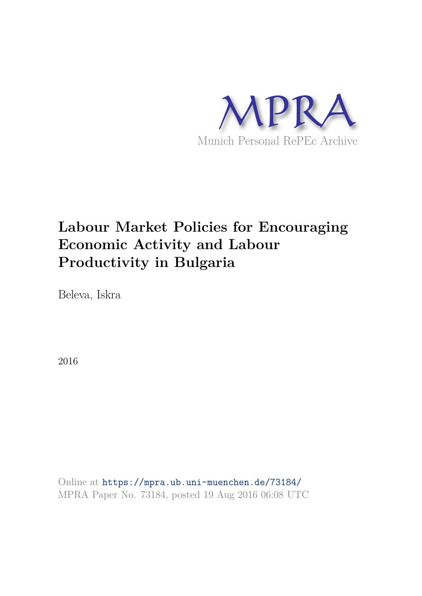

# **Labour Market Policies for Encouraging Economic Activity and Labour Productivity in Bulgaria**

Beleva, Iskra

2016

Online at https://mpra.ub.uni-muenchen.de/73184/ MPRA Paper No. 73184, posted 19 Aug 2016 06:08 UTC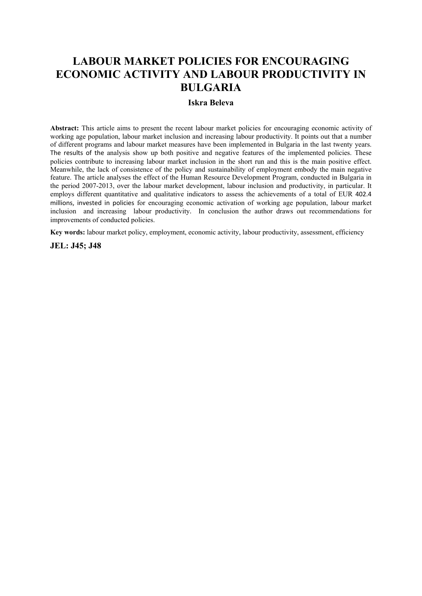# **LABOUR MARKET POLICIES FOR ENCOURAGING ECONOMIC ACTIVITY AND LABOUR PRODUCTIVITY IN BULGARIA**

#### **Iskra Beleva**

**Abstract:** This article aims to present the recent labour market policies for encouraging economic activity of working age population, labour market inclusion and increasing labour productivity. It points out that a number of different programs and labour market measures have been implemented in Bulgaria in the last twenty years. The results of the analysis show up both positive and negative features of the implemented policies. These policies contribute to increasing labour market inclusion in the short run and this is the main positive effect. Meanwhile, the lack of consistence of the policy and sustainability of employment embody the main negative feature. The article analyses the effect of the Human Resource Development Program, conducted in Bulgaria in the period 2007-2013, over the labour market development, labour inclusion and productivity, in particular. It employs different quantitative and qualitative indicators to assess the achievements of a total of EUR 402.4 millions, invested in policies for encouraging economic activation of working age population, labour market inclusion and increasing labour productivity. In conclusion the author draws out recommendations for improvements of conducted policies.

**Key words:** labour market policy, employment, economic activity, labour productivity, assessment, efficiency

**JEL: J45; J48**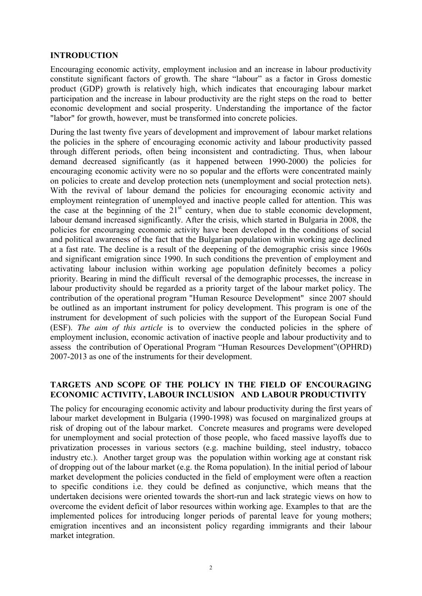#### **INTRODUCTION**

Encouraging economic activity, employment inclusion and an increase in labour productivity constitute significant factors of growth. The share "labour" as a factor in Gross domestic product (GDP) growth is relatively high, which indicates that encouraging labour market participation and the increase in labour productivity are the right steps on the road to better economic development and social prosperity. Understanding the importance of the factor "labor" for growth, however, must be transformed into concrete policies.

During the last twenty five years of development and improvement of labour market relations the policies in the sphere of encouraging economic activity and labour productivity passed through different periods, often being inconsistent and contradicting. Thus, when labour demand decreased significantly (as it happened between 1990-2000) the policies for encouraging economic activity were no so popular and the efforts were concentrated mainly on policies to create and develop protection nets (unemployment and social protection nets). With the revival of labour demand the policies for encouraging economic activity and employment reintegration of unemployed and inactive people called for attention. This was the case at the beginning of the  $21<sup>st</sup>$  century, when due to stable economic development, labour demand increased significantly. After the crisis, which started in Bulgaria in 2008, the policies for encouraging economic activity have been developed in the conditions of social and political awareness of the fact that the Bulgarian population within working age declined at a fast rate. The decline is a result of the deepening of the demographic crisis since 1960s and significant emigration since 1990. In such conditions the prevention of employment and activating labour inclusion within working age population definitely becomes a policy priority. Bearing in mind the difficult reversal of the demographic processes, the increase in labour productivity should be regarded as a priority target of the labour market policy. The contribution of the operational program "Human Resource Development" since 2007 should be outlined as an important instrument for policy development. This program is one of the instrument for development of such policies with the support of the European Social Fund (ESF). *The aim of this article* is to overview the conducted policies in the sphere of employment inclusion, economic activation of inactive people and labour productivity and to assess the contribution of Operational Program "Human Resources Development"(OPHRD) 2007-2013 as one of the instruments for their development.

### **TARGETS AND SCOPE OF THE POLICY IN THE FIELD OF ЕNCOURAGING ECONOMIC ACTIVITY, LABOUR INCLUSION AND LABOUR PRODUCTIVITY**

The policy for encouraging economic activity and labour productivity during the first years of labour market development in Bulgaria (1990-1998) was focused on marginalized groups at risk of droping out of the labour market. Concrete measures and programs were developed for unemployment and social protection of those people, who faced massive layoffs due to privatization processes in various sectors (e.g. machine building, steel industry, tobacco industry etc.). Another target group was the population within working age at constant risk of dropping out of the labour market (e.g. the Roma population). In the initial period of labour market development the policies conducted in the field of employment were often a reaction to specific conditions i.e. they could be defined as conjunctive, which means that the undertaken decisions were oriented towards the short-run and lack strategic views on how to overcome the evident deficit of labor resources within working age. Examples to that are the implemented polices for introducing longer periods of parental leave for young mothers; emigration incentives and an inconsistent policy regarding immigrants and their labour market integration.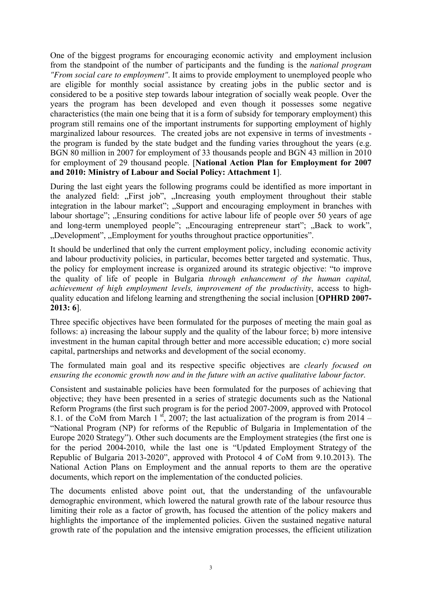One of the biggest programs for encouraging economic activity and employment inclusion from the standpoint of the number of participants and the funding is the *national program "From social care to employment"*. It aims to provide employment to unemployed people who are eligible for monthly social assistance by creating jobs in the public sector and is considered to be a positive step towards labour integration of socially weak people. Over the years the program has been developed and even though it possesses some negative characteristics (the main one being that it is a form of subsidy for temporary employment) this program still remains one of the important instruments for supporting employment of highly marginalized labour resources. The created jobs are not expensive in terms of investments the program is funded by the state budget and the funding varies throughout the years (e.g. BGN 80 million in 2007 for employment of 33 thousands people and BGN 43 million in 2010 for employment of 29 thousand people. [**National Action Plan for Employment for 2007 and 2010: Ministry of Labour and Social Policy: Attachment 1**].

During the last eight years the following programs could be identified as more important in the analyzed field: "First job", "Increasing youth employment throughout their stable integration in the labour market"; "Support and encouraging employment in branches with labour shortage"; "Ensuring conditions for active labour life of people over 50 years of age and long-term unemployed people"; "Encouraging entrepreneur start"; "Back to work", ", Development", "Employment for youths throughout practice opportunities".

It should be underlined that only the current employment policy, including economic activity and labour productivity policies, in particular, becomes better targeted and systematic. Thus, the policy for employment increase is organized around its strategic objective: "to improve the quality of life of people in Bulgaria *through enhancement of the human capital, achievement of high employment levels, improvement of the productivity*, access to highquality education and lifelong learning and strengthening the social inclusion [**OPHRD 2007- 2013: 6**].

Three specific objectives have been formulated for the purposes of meeting the main goal as follows: a) increasing the labour supply and the quality of the labour force; b) more intensive investment in the human capital through better and more accessible education; c) more social capital, partnerships and networks and development of the social economy.

The formulated main goal and its respective specific objectives are *clearly focused on ensuring the economic growth now and in the future with an active qualitative labour factor.*

Consistent and sustainable policies have been formulated for the purposes of achieving that objective; they have been presented in a series of strategic documents such as the National Reform Programs (the first such program is for the period 2007-2009, approved with Protocol 8.1. of the CoM from March 1<sup>st</sup>, 2007; the last actualization of the program is from 2014 – "National Program (NP) for reforms of the Republic of Bulgaria in Implementation of the Europe 2020 Strategy"). Other such documents are the Employment strategies (the first one is for the period 2004-2010, while the last one is "Updated Employment Strategy of the Republic of Bulgaria 2013-2020", approved with Protocol 4 of CoM from 9.10.2013). The National Action Plans on Employment and the annual reports to them are the operative documents, which report on the implementation of the conducted policies.

The documents enlisted above point out, that the understanding of the unfavourable demographic environment, which lowered the natural growth rate of the labour resource thus limiting their role as a factor of growth, has focused the attention of the policy makers and highlights the importance of the implemented policies. Given the sustained negative natural growth rate of the population and the intensive emigration processes, the efficient utilization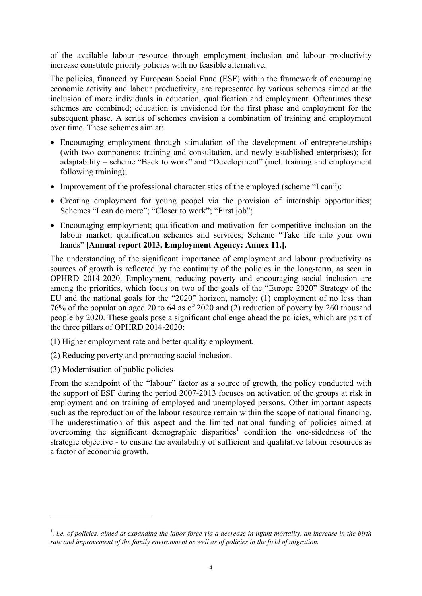of the available labour resource through employment inclusion and labour productivity increase constitute priority policies with no feasible alternative.

The policies, financed by European Social Fund (ESF) within the framework of encouraging economic activity and labour productivity, are represented by various schemes aimed at the inclusion of more individuals in education, qualification and employment. Oftentimes these schemes are combined; education is envisioned for the first phase and employment for the subsequent phase. A series of schemes envision a combination of training and employment over time. These schemes aim at:

- Encouraging employment through stimulation of the development of entrepreneurships (with two components: training and consultation, and newly established enterprises); for adaptability – scheme "Back to work" and "Development" (incl. training and employment following training);
- Improvement of the professional characteristics of the employed (scheme "I can");
- Creating employment for young peopel via the provision of internship opportunities; Schemes "I can do more"; "Closer to work"; "First job";
- Encouraging employment; qualification and motivation for competitive inclusion on the labour market; qualification schemes and services; Scheme "Take life into your own hands" **[Annual report 2013, Employment Agency: Annex 11.].**

The understanding of the significant importance of employment and labour productivity as sources of growth is reflected by the continuity of the policies in the long-term, as seen in OPHRD 2014-2020. Employment, reducing poverty and encouraging social inclusion are among the priorities, which focus on two of the goals of the "Europe 2020" Strategy of the EU and the national goals for the "2020" horizon, namely: (1) employment of no less than 76% of the population aged 20 to 64 as of 2020 and (2) reduction of poverty by 260 thousand people by 2020. These goals pose a significant challenge ahead the policies, which are part of the three pillars of OPHRD 2014-2020:

- (1) Higher employment rate and better quality employment.
- (2) Reducing poverty and promoting social inclusion.
- (3) Modernisation of public policies

<u>.</u>

From the standpoint of the "labour" factor as a source of growth*,* the policy conducted with the support of ESF during the period 2007-2013 focuses on activation of the groups at risk in employment and on training of employed and unemployed persons. Other important aspects such as the reproduction of the labour resource remain within the scope of national financing. The underestimation of this aspect and the limited national funding of policies aimed at overcoming the significant demographic disparities<sup>1</sup> condition the one-sidedness of the strategic objective - to ensure the availability of sufficient and qualitative labour resources as a factor of economic growth.

<sup>&</sup>lt;sup>1</sup>, i.e. of policies, aimed at expanding the labor force via a decrease in infant mortality, an increase in the birth *rate and improvement of the family environment as well as of policies in the field of migration.*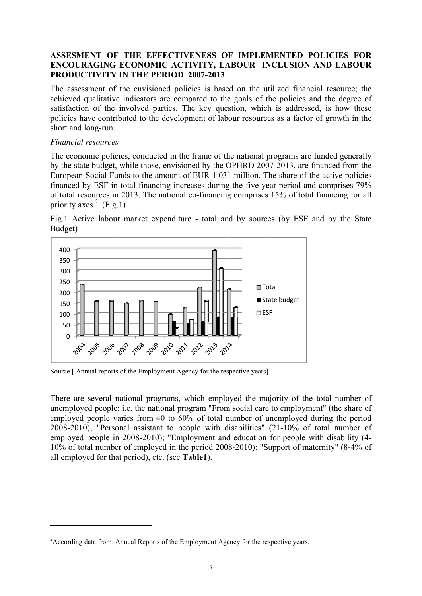#### ASSESMENT OF THE EFFECTIVENESS OF IMPLEMENTED POLICIES FOR **ENCOURAGING ECONOMIC ACTIVITY, LABOUR INCLUSION AND LABOUR PRODU UCTIVITY Y IN THE P PERIOD 2 2007-2013**

The assessment of the envisioned policies is based on the utilized financial resource; the achieved qualitative indicators are compared to the goals of the policies and the degree of satisfaction of the involved parties. The key question, which is addressed, is how these policies have contributed to the development of labour resources as a factor of growth in the short and long-run.

#### *Financi ial resource es*

l

l

l

The economic policies, conducted in the frame of the national programs are funded generally by the state budget, while those, envisioned by the OPHRD 2007-2013, are financed from the European Social Funds to the amount of EUR 1 031 million. The share of the active policies financed by ESF in total financing increases during the five-year period and comprises 79% of total resources in 2013. The national co-financing comprises 15% of total financing for all priority axes  $2$ . (Fig.1)





Source [ Annual reports of the Employment Agency for the respective years]

There are several national programs, which employed the majority of the total number of unemployed people: i.e. the national program "From social care to employment" (the share of employed people varies from 40 to 60% of total number of unemployed during the period 2008-2010); "Personal assistant to people with disabilities" (21-10% of total number of employed people in 2008-2010); "Employment and education for people with disability (4-10% of total number of employed in the period 2008-2010): "Support of maternity" (8-4% of all employed for that period), etc. (see **Table1**).

<sup>&</sup>lt;sup>2</sup> According data from Annual Reports of the Employment Agency for the respective years.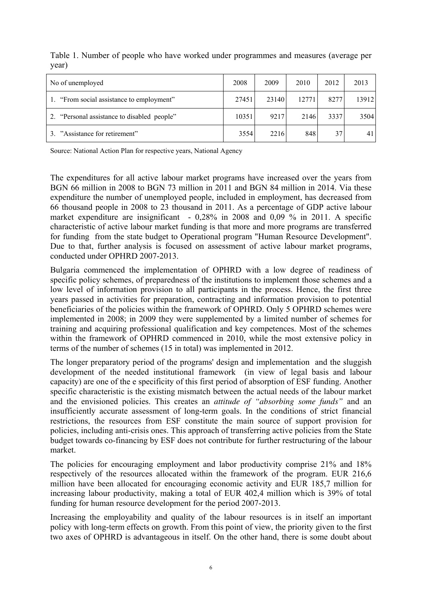| No of unemployed                            | 2008  | 2009  | 2010  | 2012 | 2013  |
|---------------------------------------------|-------|-------|-------|------|-------|
| 1. "From social assistance to employment"   | 27451 | 23140 | 12771 | 8277 | 13912 |
| 2. "Personal assistance to disabled people" | 10351 | 9217  | 2146  | 3337 | 3504  |
| 3. "Assistance for retirement"              | 3554  | 2216  | 848   | 37   | 41    |

Table 1. Number of people who have worked under programmes and measures (average per year)

Source: National Action Plan for respective years, National Agency

The expenditures for all active labour market programs have increased over the years from BGN 66 million in 2008 to BGN 73 million in 2011 and BGN 84 million in 2014. Via these expenditure the number of unemployed people, included in employment, has decreased from 66 thousand people in 2008 to 23 thousand in 2011. As a percentage of GDP active labour market expenditure are insignificant - 0,28% in 2008 and 0,09 % in 2011. A specific characteristic of active labour market funding is that more and more programs are transferred for funding from the state budget to Operational program "Human Resource Development". Due to that, further analysis is focused on assessment of active labour market programs, conducted under OPHRD 2007-2013.

Bulgaria commenced the implementation of OPHRD with a low degree of readiness of specific policy schemes, of preparedness of the institutions to implement those schemes and a low level of information provision to all participants in the process. Hence, the first three years passed in activities for preparation, contracting and information provision to potential beneficiaries of the policies within the framework of OPHRD. Only 5 OPHRD schemes were implemented in 2008; in 2009 they were supplemented by a limited number of schemes for training and acquiring professional qualification and key competences. Most of the schemes within the framework of OPHRD commenced in 2010, while the most extensive policy in terms of the number of schemes (15 in total) was implemented in 2012.

The longer preparatory period of the programs' design and implementation and the sluggish development of the needed institutional framework (in view of legal basis and labour capacity) are one of the e specificity of this first period of absorption of ESF funding. Another specific characteristic is the existing mismatch between the actual needs of the labour market and the envisioned policies. This creates an *attitude of "absorbing some funds"* and an insufficiently accurate assessment of long-term goals. In the conditions of strict financial restrictions, the resources from ESF constitute the main source of support provision for policies, including anti-crisis ones. This approach of transferring active policies from the State budget towards co-financing by ESF does not contribute for further restructuring of the labour market.

The policies for encouraging employment and labor productivity comprise 21% and 18% respectively of the resources allocated within the framework of the program. EUR 216,6 million have been allocated for encouraging economic activity and EUR 185,7 million for increasing labour productivity, making a total of EUR 402,4 million which is 39% of total funding for human resource development for the period 2007-2013.

Increasing the employability and quality of the labour resources is in itself an important policy with long-term effects on growth. From this point of view, the priority given to the first two axes of OPHRD is advantageous in itself. On the other hand, there is some doubt about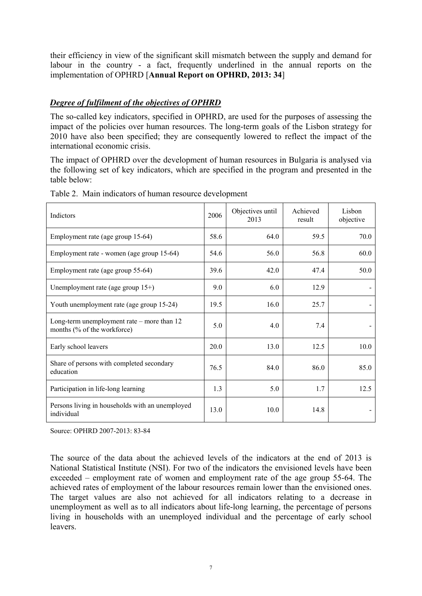their efficiency in view of the significant skill mismatch between the supply and demand for labour in the country - a fact, frequently underlined in the annual reports on the implementation of OPHRD [**Annual Report on OPHRD, 2013: 34**]

## *Degree of fulfilment of the objectives of OPHRD*

The so-called key indicators, specified in OPHRD, are used for the purposes of assessing the impact of the policies over human resources. The long-term goals of the Lisbon strategy for 2010 have also been specified; they are consequently lowered to reflect the impact of the international economic crisis.

The impact of OPHRD over the development of human resources in Bulgaria is analysed via the following set of key indicators, which are specified in the program and presented in the table below:

| Indictors                                                                   | 2006 | Objectives until<br>2013 | Achieved<br>result | Lisbon<br>objective |
|-----------------------------------------------------------------------------|------|--------------------------|--------------------|---------------------|
| Employment rate (age group 15-64)                                           | 58.6 | 64.0                     | 59.5               | 70.0                |
| Employment rate - women (age group 15-64)                                   | 54.6 | 56.0                     | 56.8               | 60.0                |
| Employment rate (age group 55-64)                                           | 39.6 | 42.0                     | 47.4               | 50.0                |
| Unemployment rate (age group $15+$ )                                        | 9.0  | 6.0                      | 12.9               |                     |
| Youth unemployment rate (age group 15-24)                                   | 19.5 | 16.0                     | 25.7               |                     |
| Long-term unemployment rate $-$ more than 12<br>months (% of the workforce) | 5.0  | 4.0                      | 7.4                |                     |
| Early school leavers                                                        | 20.0 | 13.0                     | 12.5               | 10.0                |
| Share of persons with completed secondary<br>education                      | 76.5 | 84.0                     | 86.0               | 85.0                |
| Participation in life-long learning                                         | 1.3  | 5.0                      | 1.7                | 12.5                |
| Persons living in households with an unemployed<br>individual               | 13.0 | 10.0                     | 14.8               |                     |

Table 2. Main indicators of human resource development

Source: OPHRD 2007-2013: 83-84

The source of the data about the achieved levels of the indicators at the end of 2013 is National Statistical Institute (NSI). For two of the indicators the envisioned levels have been exceeded – employment rate of women and employment rate of the age group 55-64. The achieved rates of employment of the labour resources remain lower than the envisioned ones. The target values are also not achieved for all indicators relating to a decrease in unemployment as well as to all indicators about life-long learning, the percentage of persons living in households with an unemployed individual and the percentage of early school leavers.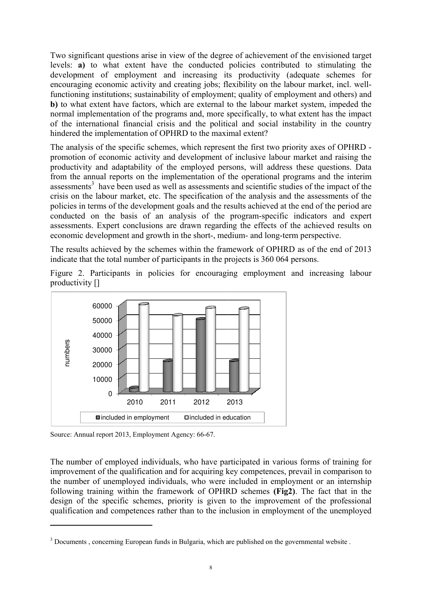Two significant questions arise in view of the degree of achievement of the envisioned target levels: **a**) to what extent have the conducted policies contributed to stimulating the development of employment and increasing its productivity (adequate schemes for encouraging economic activity and creating jobs; flexibility on the labour market, incl. wellfunctioning institutions; sustainability of employment; quality of employment and others) and **b**) to what extent have factors, which are external to the labour market system, impeded the normal implementation of the programs and, more specifically, to what extent has the impact of the international financial crisis and the political and social instability in the country hindered the implementation of OPHRD to the maximal extent?

The analysis of the specific schemes, which represent the first two priority axes of OPHRD promotion of economic activity and development of inclusive labour market and raising the productivity and adaptability of the employed persons, will address these questions. Data from the annual reports on the implementation of the operational programs and the interim assessments<sup>3</sup> have been used as well as assessments and scientific studies of the impact of the crisis on the labour market, etc. The specification of the analysis and the assessments of the policies in terms of the development goals and the results achieved at the end of the period are conducted on the basis of an analysis of the program-specific indicators and expert assessments. Expert conclusions are drawn regarding the effects of the achieved results on economic development and growth in the short-, medium- and long-term perspective.

The results achieved by the schemes within the framework of OPHRD as of the end of 2013 indicate that the total number of participants in the projects is 360 064 persons.





Source: Annual report 2013, Employment Agency: 66-67.

l

l

l

The number of employed individuals, who have participated in various forms of training for improvement of the qualification and for acquiring key competences, prevail in comparison to the number of unemployed individuals, who were included in employment or an internship following training within the framework of OPHRD schemes (Fig2). The fact that in the design of the specific schemes, priority is given to the improvement of the professional qualification and competences rather than to the inclusion in employment of the unemployed

<sup>&</sup>lt;sup>3</sup> Documents, concerning European funds in Bulgaria, which are published on the governmental website.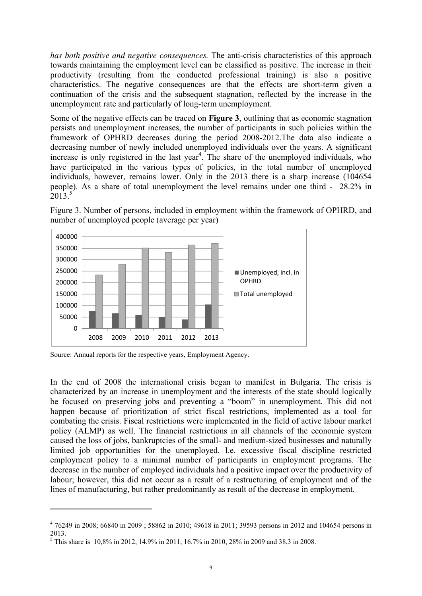*has both positive and negative consequences.* The anti-crisis characteristics of this approach towards maintaining the employment level can be classified as positive. The increase in their productivity (resulting from the conducted professional training) is also a positive characteristics. The negative consequences are that the effects are short-term given a continuation of the crisis and the subsequent stagnation, reflected by the increase in the unemployment rate and particularly of long-term unemployment.

Some of the negative effects can be traced on **Figure 3**, outlining that as economic stagnation persists and unemployment increases, the number of participants in such policies within the framework of OPHRD decreases during the period 2008-2012.The data also indicate a decreasing number of newly included unemployed individuals over the years. A significant increase is only registered in the last year<sup>4</sup>. The share of the unemployed individuals, who have participated in the various types of policies, in the total number of unemployed individuals, however, remains lower. Only in the 2013 there is a sharp increase (104654 people). As a share of total unemployment the level remains under one third - 28.2% in  $2013<sup>5</sup>$ 

Figure 3. Number of persons, included in employment within the framework of OPHRD, and number of unemployed people (average per year)





<u>.</u>

In the end of 2008 the international crisis began to manifest in Bulgaria. The crisis is characterized by an increase in unemployment and the interests of the state should logically be focused on preserving jobs and preventing a "boom" in unemployment. This did not happen because of prioritization of strict fiscal restrictions, implemented as a tool for combating the crisis. Fiscal restrictions were implemented in the field of active labour market policy (ALMP) as well. The financial restrictions in all channels of the economic system caused the loss of jobs, bankruptcies of the small- and medium-sized businesses and naturally limited job opportunities for the unemployed. I.e. excessive fiscal discipline restricted employment policy to a minimal number of participants in employment programs. The decrease in the number of employed individuals had a positive impact over the productivity of labour; however, this did not occur as a result of a restructuring of employment and of the lines of manufacturing, but rather predominantly as result of the decrease in employment.

<sup>&</sup>lt;sup>4</sup> 76249 in 2008; 66840 in 2009; 58862 in 2010; 49618 in 2011; 39593 persons in 2012 and 104654 persons in 2013.

<sup>&</sup>lt;sup>5</sup> This share is 10,8% in 2012, 14.9% in 2011, 16.7% in 2010, 28% in 2009 and 38,3 in 2008.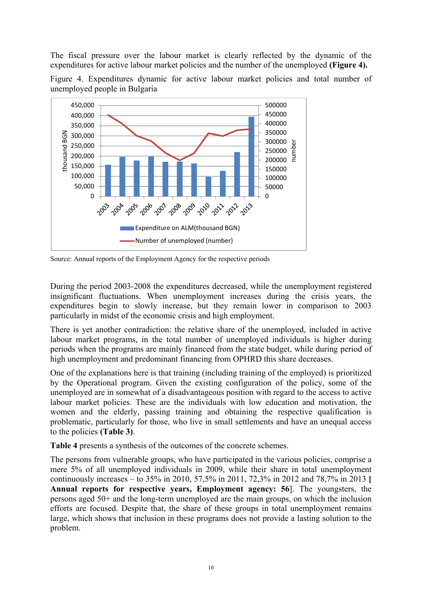The fiscal pressure over the labour market is clearly reflected by the dynamic of the expenditures for active labour market policies and the number of the unemployed **(Figure 4).**

Figure 4. Expenditures dynamic for active labour market policies and total number of unemployed people in Bulgaria



Source: Annual reports of the Employment Agency for the respective periods

During the period 2003-2008 the expenditures decreased, while the unemployment registered insignificant fluctuations. When unemployment increases during the crisis years, the expenditures begin to slowly increase, but they remain lower in comparison to 2003 particularly in midst of the economic crisis and high employment.

There is yet another contradiction: the relative share of the unemployed, included in active labour market programs, in the total number of unemployed individuals is higher during periods when the programs are mainly financed from the state budget, while during period of high unemployment and predominant financing from OPHRD this share decreases.

One of the explanations here is that training (including training of the employed) is prioritized by the Operational program. Given the existing configuration of the policy, some of the unemployed are in somewhat of a disadvantageous position with regard to the access to active labour market policies. These are the individuals with low education and motivation, the women and the elderly, passing training and obtaining the respective qualification is problematic, particularly for those, who live in small settlements and have an unequal access to the policies **(Table 3)**.

**Table 4** presents a synthesis of the outcomes of the concrete schemes.

The persons from vulnerable groups, who have participated in the various policies, comprise a mere 5% of all unemployed individuals in 2009, while their share in total unemployment continuously increases – to 35% in 2010, 57,5% in 2011, 72,3% in 2012 and 78,7% in 2013 **[ Annual reports for respective years, Employment agency: 56**]. The youngsters, the persons aged 50+ and the long-term unemployed are the main groups, on which the inclusion efforts are focused. Despite that, the share of these groups in total unemployment remains large, which shows that inclusion in these programs does not provide a lasting solution to the problem.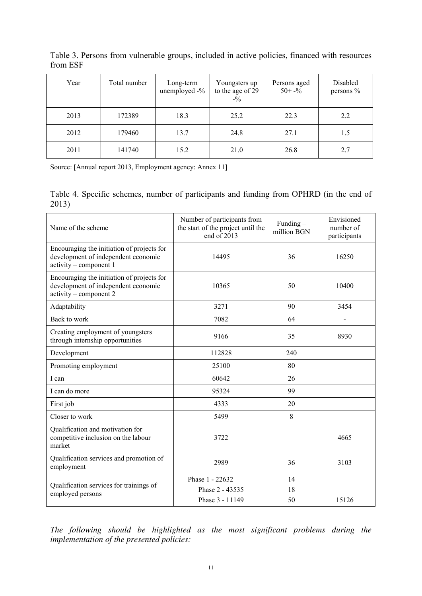| Year | Total number | Long-term<br>unemployed -% | Youngsters up<br>to the age of 29<br>$-9/6$ | Persons aged<br>$50 + -\frac{6}{9}$ | Disabled<br>persons % |
|------|--------------|----------------------------|---------------------------------------------|-------------------------------------|-----------------------|
| 2013 | 172389       | 18.3                       | 25.2                                        | 22.3                                | 2.2                   |
| 2012 | 179460       | 13.7                       | 24.8                                        | 27.1                                | 1.5                   |
| 2011 | 141740       | 15.2                       | 21.0                                        | 26.8                                | 2.7                   |

Table 3. Persons from vulnerable groups, included in active policies, financed with resources from ESF

Source: [Annual report 2013, Employment agency: Annex 11]

Table 4. Specific schemes, number of participants and funding from OPHRD (in the end of 2013)

| Name of the scheme                                                                                          | Number of participants from<br>the start of the project until the<br>end of 2013 | Funding $-$<br>million BGN | Envisioned<br>number of<br>participants |
|-------------------------------------------------------------------------------------------------------------|----------------------------------------------------------------------------------|----------------------------|-----------------------------------------|
| Encouraging the initiation of projects for<br>development of independent economic<br>activity – component 1 | 14495                                                                            | 36                         | 16250                                   |
| Encouraging the initiation of projects for<br>development of independent economic<br>activity – component 2 | 10365                                                                            | 50                         | 10400                                   |
| Adaptability                                                                                                | 3271                                                                             | 90                         | 3454                                    |
| Back to work                                                                                                | 7082                                                                             | 64                         |                                         |
| Creating employment of youngsters<br>through internship opportunities                                       | 9166                                                                             | 35                         | 8930                                    |
| Development                                                                                                 | 112828                                                                           | 240                        |                                         |
| Promoting employment                                                                                        | 25100                                                                            | 80                         |                                         |
| I can                                                                                                       | 60642                                                                            | 26                         |                                         |
| I can do more                                                                                               | 95324                                                                            | 99                         |                                         |
| First job                                                                                                   | 4333                                                                             | 20                         |                                         |
| Closer to work                                                                                              | 5499                                                                             | 8                          |                                         |
| Qualification and motivation for<br>competitive inclusion on the labour<br>market                           | 3722                                                                             |                            | 4665                                    |
| Qualification services and promotion of<br>employment                                                       | 2989                                                                             | 36                         | 3103                                    |
| Qualification services for trainings of<br>employed persons                                                 | Phase 1 - 22632<br>Phase 2 - 43535<br>Phase 3 - 11149                            | 14<br>18<br>50             | 15126                                   |
|                                                                                                             |                                                                                  |                            |                                         |

*The following should be highlighted as the most significant problems during the implementation of the presented policies:*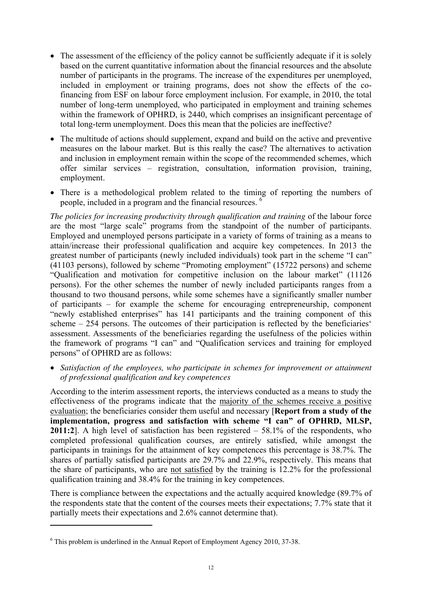- The assessment of the efficiency of the policy cannot be sufficiently adequate if it is solely based on the current quantitative information about the financial resources and the absolute number of participants in the programs. The increase of the expenditures per unemployed, included in employment or training programs, does not show the effects of the cofinancing from ESF on labour force employment inclusion. For example, in 2010, the total number of long-term unemployed, who participated in employment and training schemes within the framework of OPHRD, is 2440, which comprises an insignificant percentage of total long-term unemployment. Does this mean that the policies are ineffective?
- The multitude of actions should supplement, expand and build on the active and preventive measures on the labour market. But is this really the case? The alternatives to activation and inclusion in employment remain within the scope of the recommended schemes, which offer similar services – registration, consultation, information provision, training, employment.
- There is a methodological problem related to the timing of reporting the numbers of people, included in a program and the financial resources. <sup>6</sup>

*The policies for increasing productivity through qualification and training* of the labour force are the most "large scale" programs from the standpoint of the number of participants. Employed and unemployed persons participate in a variety of forms of training as a means to attain/increase their professional qualification and acquire key competences. In 2013 the greatest number of participants (newly included individuals) took part in the scheme "I can" (41103 persons), followed by scheme "Promoting employment" (15722 persons) and scheme "Qualification and motivation for competitive inclusion on the labour market" (11126 persons). For the other schemes the number of newly included participants ranges from a thousand to two thousand persons, while some schemes have a significantly smaller number of participants – for example the scheme for encouraging entrepreneurship, component "newly established enterprises" has 141 participants and the training component of this scheme – 254 persons. The outcomes of their participation is reflected by the beneficiaries' assessment. Assessments of the beneficiaries regarding the usefulness of the policies within the framework of programs "I can" and "Qualification services and training for employed persons" of OPHRD are as follows:

• *Satisfaction of the employees, who participate in schemes for improvement or attainment of professional qualification and key competences* 

According to the interim assessment reports, the interviews conducted as a means to study the effectiveness of the programs indicate that the majority of the schemes receive a positive evaluation; the beneficiaries consider them useful and necessary [**Report from a study of the implementation, progress and satisfaction with scheme "I can" of OPHRD, MLSP, 2011:2**]. A high level of satisfaction has been registered – 58.1% of the respondents, who completed professional qualification courses, are entirely satisfied, while amongst the participants in trainings for the attainment of key competences this percentage is 38.7%. The shares of partially satisfied participants are 29.7% and 22.9%, respectively. This means that the share of participants, who are not satisfied by the training is 12.2% for the professional qualification training and 38.4% for the training in key competences.

There is compliance between the expectations and the actually acquired knowledge (89.7% of the respondents state that the content of the courses meets their expectations; 7.7% state that it partially meets their expectations and 2.6% cannot determine that).

<u>.</u>

<sup>&</sup>lt;sup>6</sup> This problem is underlined in the Annual Report of Employment Agency 2010, 37-38.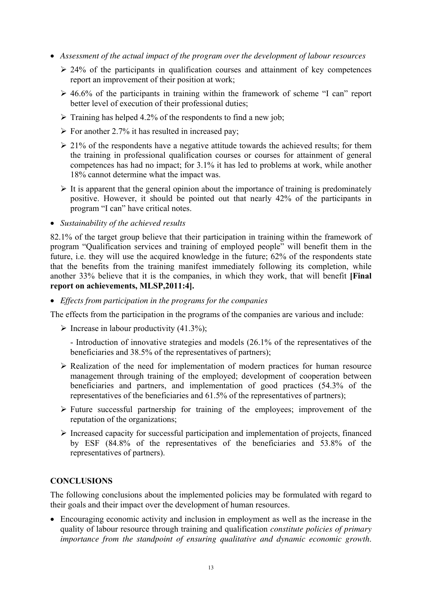- *Assessment of the actual impact of the program over the development of labour resources* 
	- $\geq$  24% of the participants in qualification courses and attainment of key competences report an improvement of their position at work;
	- $\geq$  46.6% of the participants in training within the framework of scheme "I can" report better level of execution of their professional duties;
	- $\triangleright$  Training has helped 4.2% of the respondents to find a new job;
	- $\triangleright$  For another 2.7% it has resulted in increased pay;
	- $\geq$  21% of the respondents have a negative attitude towards the achieved results; for them the training in professional qualification courses or courses for attainment of general competences has had no impact; for 3.1% it has led to problems at work, while another 18% cannot determine what the impact was.
	- $\triangleright$  It is apparent that the general opinion about the importance of training is predominately positive. However, it should be pointed out that nearly 42% of the participants in program "I can" have critical notes.
- *Sustainability of the achieved results*

82.1% of the target group believe that their participation in training within the framework of program "Qualification services and training of employed people" will benefit them in the future, i.e. they will use the acquired knowledge in the future; 62% of the respondents state that the benefits from the training manifest immediately following its completion, while another 33% believe that it is the companies, in which they work, that will benefit **[Final report on achievements, MLSP,2011:4].**

• *Effects from participation in the programs for the companies* 

The effects from the participation in the programs of the companies are various and include:

 $\triangleright$  Increase in labour productivity (41.3%);

- Introduction of innovative strategies and models (26.1% of the representatives of the beneficiaries and 38.5% of the representatives of partners);

- $\triangleright$  Realization of the need for implementation of modern practices for human resource management through training of the employed; development of cooperation between beneficiaries and partners, and implementation of good practices (54.3% of the representatives of the beneficiaries and 61.5% of the representatives of partners);
- $\triangleright$  Future successful partnership for training of the employees; improvement of the reputation of the organizations;
- ¾ Increased capacity for successful participation and implementation of projects, financed by ESF (84.8% of the representatives of the beneficiaries and 53.8% of the representatives of partners).

#### **CONCLUSIONS**

The following conclusions about the implemented policies may be formulated with regard to their goals and their impact over the development of human resources.

• Encouraging economic activity and inclusion in employment as well as the increase in the quality of labour resource through training and qualification *constitute policies of primary importance from the standpoint of ensuring qualitative and dynamic economic growth*.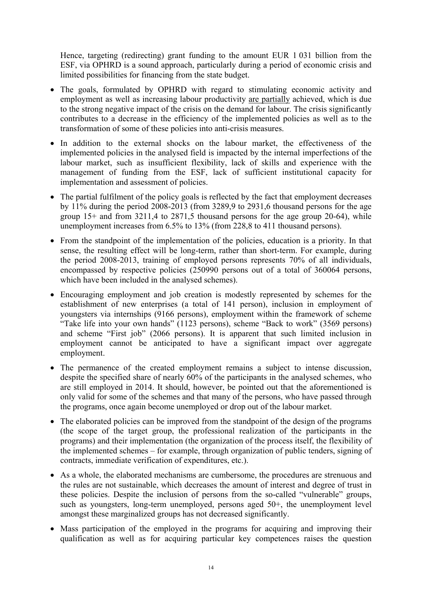Hence, targeting (redirecting) grant funding to the amount EUR 1 031 billion from the ESF, via OPHRD is a sound approach, particularly during a period of economic crisis and limited possibilities for financing from the state budget.

- The goals, formulated by OPHRD with regard to stimulating economic activity and employment as well as increasing labour productivity are partially achieved, which is due to the strong negative impact of the crisis on the demand for labour. The crisis significantly contributes to a decrease in the efficiency of the implemented policies as well as to the transformation of some of these policies into anti-crisis measures.
- In addition to the external shocks on the labour market, the effectiveness of the implemented policies in the analysed field is impacted by the internal imperfections of the labour market, such as insufficient flexibility, lack of skills and experience with the management of funding from the ESF, lack of sufficient institutional capacity for implementation and assessment of policies.
- The partial fulfilment of the policy goals is reflected by the fact that employment decreases by 11% during the period 2008-2013 (from 3289,9 to 2931,6 thousand persons for the age group 15+ and from 3211,4 to 2871,5 thousand persons for the age group 20-64), while unemployment increases from 6.5% to 13% (from 228,8 to 411 thousand persons).
- From the standpoint of the implementation of the policies, education is a priority. In that sense, the resulting effect will be long-term, rather than short-term. For example, during the period 2008-2013, training of employed persons represents 70% of all individuals, encompassed by respective policies (250990 persons out of a total of 360064 persons, which have been included in the analysed schemes).
- Encouraging employment and job creation is modestly represented by schemes for the establishment of new enterprises (a total of 141 person), inclusion in employment of youngsters via internships (9166 persons), employment within the framework of scheme "Take life into your own hands" (1123 persons), scheme "Back to work" (3569 persons) and scheme "First job" (2066 persons). It is apparent that such limited inclusion in employment cannot be anticipated to have a significant impact over aggregate employment.
- The permanence of the created employment remains a subject to intense discussion, despite the specified share of nearly 60% of the participants in the analysed schemes, who are still employed in 2014. It should, however, be pointed out that the aforementioned is only valid for some of the schemes and that many of the persons, who have passed through the programs, once again become unemployed or drop out of the labour market.
- The elaborated policies can be improved from the standpoint of the design of the programs (the scope of the target group, the professional realization of the participants in the programs) and their implementation (the organization of the process itself, the flexibility of the implemented schemes – for example, through organization of public tenders, signing of contracts, immediate verification of expenditures, etc.).
- As a whole, the elaborated mechanisms are cumbersome, the procedures are strenuous and the rules are not sustainable, which decreases the amount of interest and degree of trust in these policies. Despite the inclusion of persons from the so-called "vulnerable" groups, such as youngsters, long-term unemployed, persons aged 50+, the unemployment level amongst these marginalized groups has not decreased significantly.
- Mass participation of the employed in the programs for acquiring and improving their qualification as well as for acquiring particular key competences raises the question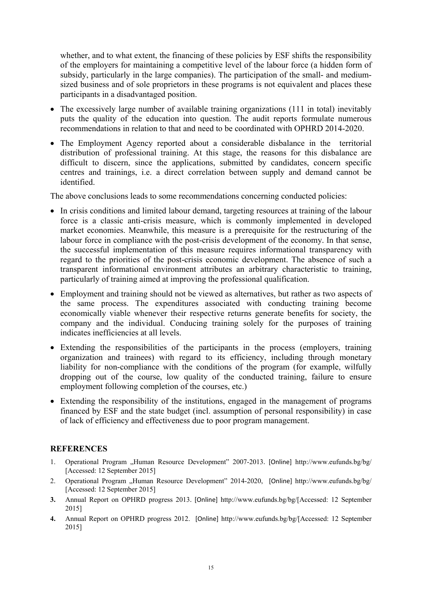whether, and to what extent, the financing of these policies by ESF shifts the responsibility of the employers for maintaining a competitive level of the labour force (a hidden form of subsidy, particularly in the large companies). The participation of the small- and mediumsized business and of sole proprietors in these programs is not equivalent and places these participants in a disadvantaged position.

- The excessively large number of available training organizations (111 in total) inevitably puts the quality of the education into question. The audit reports formulate numerous recommendations in relation to that and need to be coordinated with OPHRD 2014-2020.
- The Employment Agency reported about a considerable disbalance in the territorial distribution of professional training. At this stage, the reasons for this disbalance are difficult to discern, since the applications, submitted by candidates, concern specific centres and trainings, i.e. a direct correlation between supply and demand cannot be identified.

The above conclusions leads to some recommendations concerning conducted policies:

- In crisis conditions and limited labour demand, targeting resources at training of the labour force is a classic anti-crisis measure, which is commonly implemented in developed market economies. Meanwhile, this measure is a prerequisite for the restructuring of the labour force in compliance with the post-crisis development of the economy. In that sense, the successful implementation of this measure requires informational transparency with regard to the priorities of the post-crisis economic development. The absence of such a transparent informational environment attributes an arbitrary characteristic to training, particularly of training aimed at improving the professional qualification.
- Employment and training should not be viewed as alternatives, but rather as two aspects of the same process. The expenditures associated with conducting training become economically viable whenever their respective returns generate benefits for society, the company and the individual. Conducing training solely for the purposes of training indicates inefficiencies at all levels.
- Extending the responsibilities of the participants in the process (employers, training organization and trainees) with regard to its efficiency, including through monetary liability for non-compliance with the conditions of the program (for example, wilfully dropping out of the course, low quality of the conducted training, failure to ensure employment following completion of the courses, etc.)
- Extending the responsibility of the institutions, engaged in the management of programs financed by ESF and the state budget (incl. assumption of personal responsibility) in case of lack of efficiency and effectiveness due to poor program management.

### **REFERENCES**

- 1. Operational Program "Human Resource Development" 2007-2013. [Online] http://www.eufunds.bg/bg/ [Accessed: 12 September 2015]
- 2. Operational Program "Human Resource Development" 2014-2020, [Online] http://www.eufunds.bg/bg/ [Accessed: 12 September 2015]
- **3.** Annual Report on OPHRD progress 2013. [Online] http://www.eufunds.bg/bg/[Accessed: 12 September 2015]
- **4.** Annual Report on OPHRD progress 2012. [Online] http://www.eufunds.bg/bg/[Accessed: 12 September 2015]